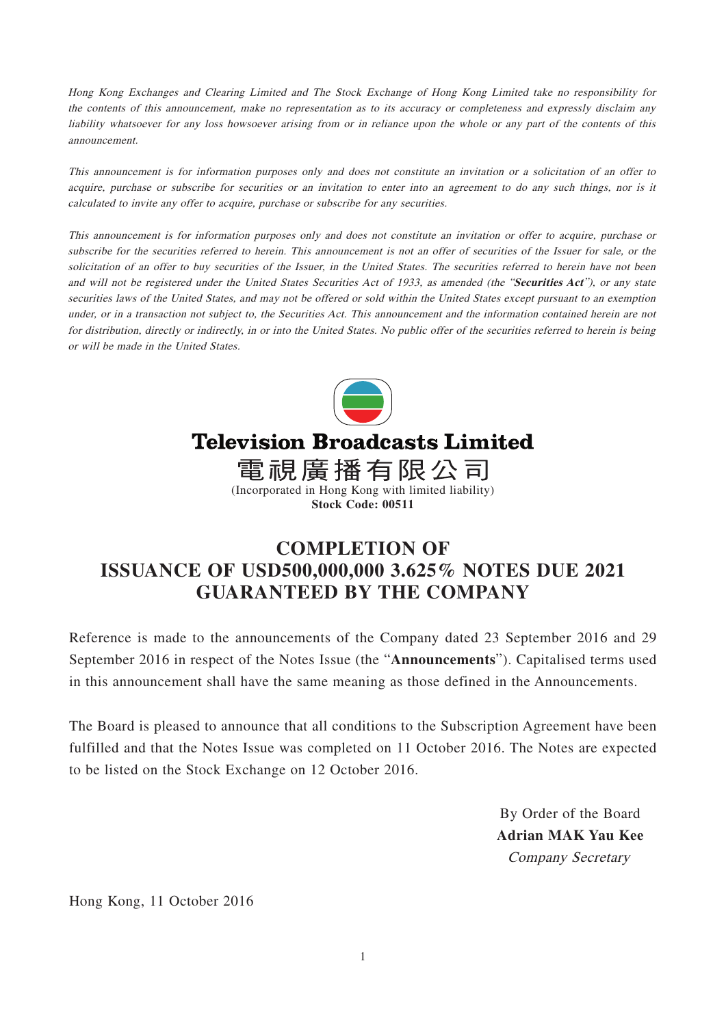Hong Kong Exchanges and Clearing Limited and The Stock Exchange of Hong Kong Limited take no responsibility for the contents of this announcement, make no representation as to its accuracy or completeness and expressly disclaim any liability whatsoever for any loss howsoever arising from or in reliance upon the whole or any part of the contents of this announcement.

This announcement is for information purposes only and does not constitute an invitation or a solicitation of an offer to acquire, purchase or subscribe for securities or an invitation to enter into an agreement to do any such things, nor is it calculated to invite any offer to acquire, purchase or subscribe for any securities.

This announcement is for information purposes only and does not constitute an invitation or offer to acquire, purchase or subscribe for the securities referred to herein. This announcement is not an offer of securities of the Issuer for sale, or the solicitation of an offer to buy securities of the Issuer, in the United States. The securities referred to herein have not been and will not be registered under the United States Securities Act of 1933, as amended (the "**Securities Act**"), or any state securities laws of the United States, and may not be offered or sold within the United States except pursuant to an exemption under, or in a transaction not subject to, the Securities Act. This announcement and the information contained herein are not for distribution, directly or indirectly, in or into the United States. No public offer of the securities referred to herein is being or will be made in the United States.



## **Television Broadcasts Limited**

電視廣播有限公司 (Incorporated in Hong Kong with limited liability)

**Stock Code: 00511**

## **COMPLETION OF ISSUANCE OF USD500,000,000 3.625% NOTES DUE 2021 GUARANTEED BY THE COMPANY**

Reference is made to the announcements of the Company dated 23 September 2016 and 29 September 2016 in respect of the Notes Issue (the "**Announcements**"). Capitalised terms used in this announcement shall have the same meaning as those defined in the Announcements.

The Board is pleased to announce that all conditions to the Subscription Agreement have been fulfilled and that the Notes Issue was completed on 11 October 2016. The Notes are expected to be listed on the Stock Exchange on 12 October 2016.

> By Order of the Board **Adrian MAK Yau Kee** Company Secretary

Hong Kong, 11 October 2016